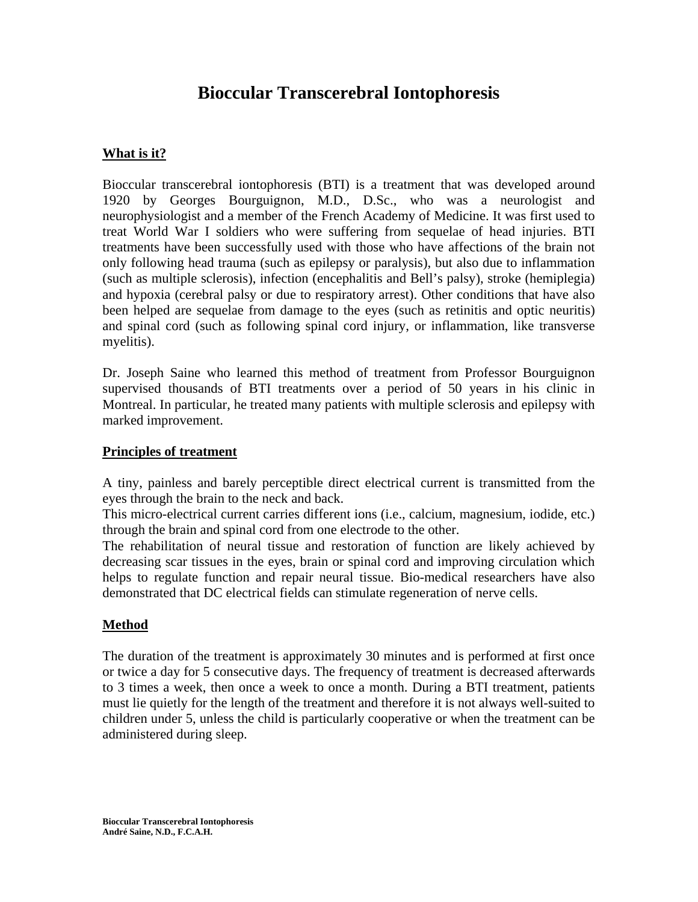# **Bioccular Transcerebral Iontophoresis**

## **What is it?**

Bioccular transcerebral iontophoresis (BTI) is a treatment that was developed around 1920 by Georges Bourguignon, M.D., D.Sc., who was a neurologist and neurophysiologist and a member of the French Academy of Medicine. It was first used to treat World War I soldiers who were suffering from sequelae of head injuries. BTI treatments have been successfully used with those who have affections of the brain not only following head trauma (such as epilepsy or paralysis), but also due to inflammation (such as multiple sclerosis), infection (encephalitis and Bell's palsy), stroke (hemiplegia) and hypoxia (cerebral palsy or due to respiratory arrest). Other conditions that have also been helped are sequelae from damage to the eyes (such as retinitis and optic neuritis) and spinal cord (such as following spinal cord injury, or inflammation, like transverse myelitis).

Dr. Joseph Saine who learned this method of treatment from Professor Bourguignon supervised thousands of BTI treatments over a period of 50 years in his clinic in Montreal. In particular, he treated many patients with multiple sclerosis and epilepsy with marked improvement.

#### **Principles of treatment**

A tiny, painless and barely perceptible direct electrical current is transmitted from the eyes through the brain to the neck and back.

This micro-electrical current carries different ions (i.e., calcium, magnesium, iodide, etc.) through the brain and spinal cord from one electrode to the other.

The rehabilitation of neural tissue and restoration of function are likely achieved by decreasing scar tissues in the eyes, brain or spinal cord and improving circulation which helps to regulate function and repair neural tissue. Bio-medical researchers have also demonstrated that DC electrical fields can stimulate regeneration of nerve cells.

#### **Method**

The duration of the treatment is approximately 30 minutes and is performed at first once or twice a day for 5 consecutive days. The frequency of treatment is decreased afterwards to 3 times a week, then once a week to once a month. During a BTI treatment, patients must lie quietly for the length of the treatment and therefore it is not always well-suited to children under 5, unless the child is particularly cooperative or when the treatment can be administered during sleep.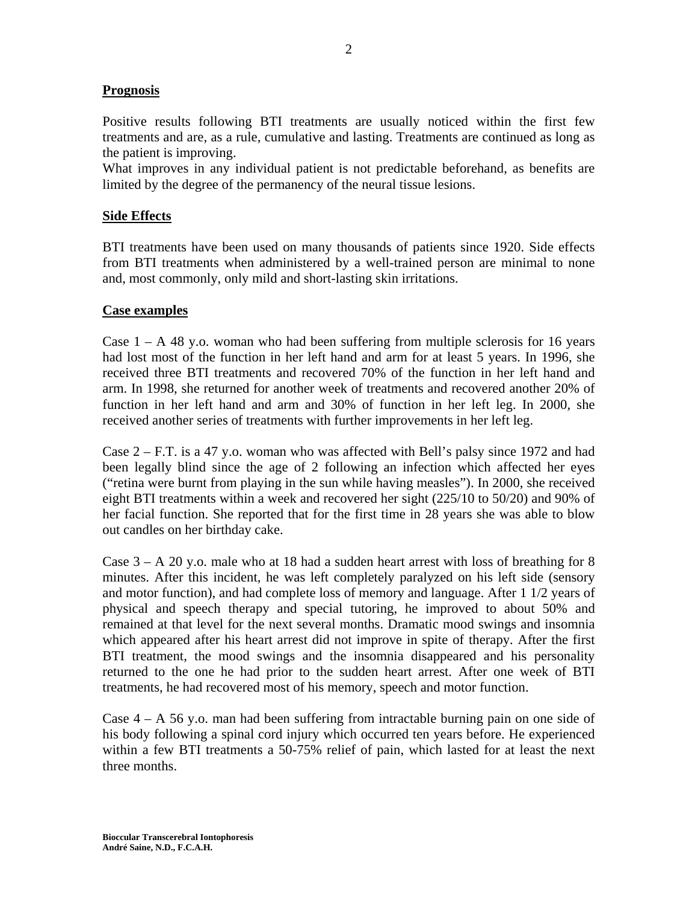## **Prognosis**

Positive results following BTI treatments are usually noticed within the first few treatments and are, as a rule, cumulative and lasting. Treatments are continued as long as the patient is improving.

What improves in any individual patient is not predictable beforehand, as benefits are limited by the degree of the permanency of the neural tissue lesions.

### **Side Effects**

BTI treatments have been used on many thousands of patients since 1920. Side effects from BTI treatments when administered by a well-trained person are minimal to none and, most commonly, only mild and short-lasting skin irritations.

#### **Case examples**

Case  $1 - A$  48 y.o. woman who had been suffering from multiple sclerosis for 16 years had lost most of the function in her left hand and arm for at least 5 years. In 1996, she received three BTI treatments and recovered 70% of the function in her left hand and arm. In 1998, she returned for another week of treatments and recovered another 20% of function in her left hand and arm and 30% of function in her left leg. In 2000, she received another series of treatments with further improvements in her left leg.

Case  $2 - F.T.$  is a 47 y.o. woman who was affected with Bell's palsy since 1972 and had been legally blind since the age of 2 following an infection which affected her eyes ("retina were burnt from playing in the sun while having measles"). In 2000, she received eight BTI treatments within a week and recovered her sight (225/10 to 50/20) and 90% of her facial function. She reported that for the first time in 28 years she was able to blow out candles on her birthday cake.

Case  $3 - A$  20 y.o. male who at 18 had a sudden heart arrest with loss of breathing for 8 minutes. After this incident, he was left completely paralyzed on his left side (sensory and motor function), and had complete loss of memory and language. After 1 1/2 years of physical and speech therapy and special tutoring, he improved to about 50% and remained at that level for the next several months. Dramatic mood swings and insomnia which appeared after his heart arrest did not improve in spite of therapy. After the first BTI treatment, the mood swings and the insomnia disappeared and his personality returned to the one he had prior to the sudden heart arrest. After one week of BTI treatments, he had recovered most of his memory, speech and motor function.

Case  $4 - A$  56 y.o. man had been suffering from intractable burning pain on one side of his body following a spinal cord injury which occurred ten years before. He experienced within a few BTI treatments a 50-75% relief of pain, which lasted for at least the next three months.